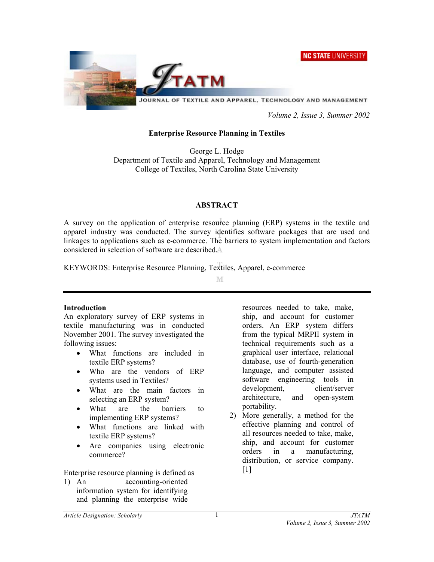NC STATE UNIVERSITY



 *Volume 2, Issue 3, Summer 2002* 

## **Enterprise Resource Planning in Textiles**

George L. Hodge Department of Textile and Apparel, Technology and Management College of Textiles, North Carolina State University

# **ABSTRACT**

A survey on the application of enterprise resource planning (ERP) systems in the textile and apparel industry was conducted. The survey identifies software packages that are used and linkages to applications such as e-commerce. The barriers to system implementation and factors considered in selection of software are described.

KEYWORDS: Enterprise Resource Planning, Textiles, Apparel, e-commerce

M

## **Introduction**

An exploratory survey of ERP systems in textile manufacturing was in conducted November 2001. The survey investigated the following issues:

- What functions are included in textile ERP systems?
- Who are the vendors of ERP systems used in Textiles?
- What are the main factors in selecting an ERP system?
- What are the barriers to implementing ERP systems?
- What functions are linked with textile ERP systems?
- Are companies using electronic commerce?

Enterprise resource planning is defined as

1) An accounting-oriented information system for identifying and planning the enterprise wide resources needed to take, make, ship, and account for customer orders. An ERP system differs from the typical MRPII system in technical requirements such as a graphical user interface, relational database, use of fourth-generation language, and computer assisted software engineering tools in development, client/server architecture, and open-system portability.

2) More generally, a method for the effective planning and control of all resources needed to take, make, ship, and account for customer orders in a manufacturing, distribution, or service company.  $[1]$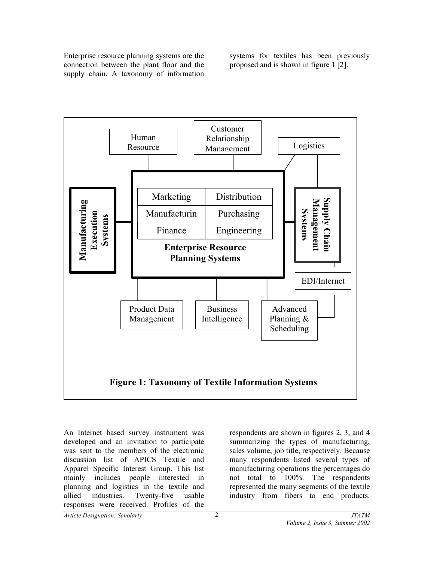Enterprise resource planning systems are the connection between the plant floor and the supply chain. A taxonomy of information

systems for textiles has been previously proposed and is shown in figure 1 [2].



An Internet based survey instrument was developed and an invitation to participate was sent to the members of the electronic discussion list of APICS Textile and Apparel Specific Interest Group. This list mainly includes people interested in planning and logistics in the textile and allied industries. Twenty-five usable responses were received. Profiles of the

respondents are shown in figures 2, 3, and 4 summarizing the types of manufacturing, sales volume, job title, respectively. Because many respondents listed several types of manufacturing operations the percentages do not total to 100%. The respondents represented the many segments of the textile industry from fibers to end products.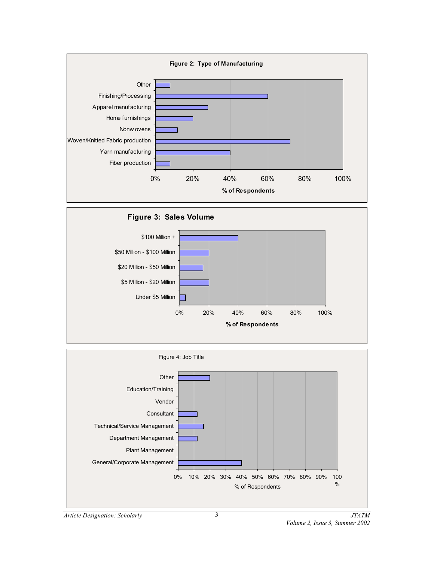

![](_page_2_Figure_1.jpeg)

![](_page_2_Figure_2.jpeg)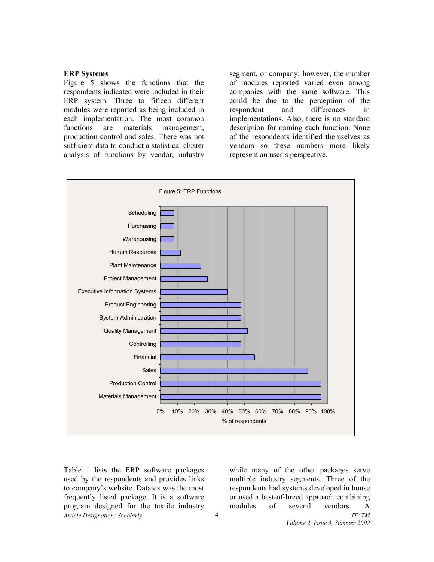## **ERP Systems**

Figure 5 shows the functions that the respondents indicated were included in their ERP system. Three to fifteen different modules were reported as being included in each implementation. The most common functions are materials management, production control and sales. There was not sufficient data to conduct a statistical cluster analysis of functions by vendor, industry segment, or company; however, the number of modules reported varied even among companies with the same software. This could be due to the perception of the respondent and differences in implementations. Also, there is no standard description for naming each function. None of the respondents identified themselves as vendors so these numbers more likely represent an user's perspective.

![](_page_3_Figure_3.jpeg)

Table 1 lists the ERP software packages used by the respondents and provides links to company's website. Datatex was the most frequently listed package. It is a software program designed for the textile industry while many of the other packages serve multiple industry segments. Three of the respondents had systems developed in house or used a best-of-breed approach combining modules of several vendors. A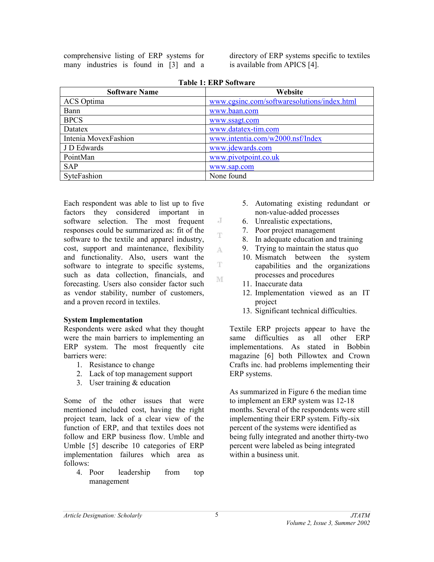comprehensive listing of ERP systems for many industries is found in [3] and a directory of ERP systems specific to textiles is available from APICS [4].

| <b>Software Name</b> | Website                                     |
|----------------------|---------------------------------------------|
| ACS Optima           | www.cgsinc.com/softwaresolutions/index.html |
| Bann                 | www.baan.com                                |
| <b>BPCS</b>          | www.ssagt.com                               |
| Datatex              | www.datatex-tim.com                         |
| Intenia MovexFashion | www.intentia.com/w2000.nsf/Index            |
| J D Edwards          | www.jdewards.com                            |
| PointMan             | www.pivotpoint.co.uk                        |
| <b>SAP</b>           | www.sap.com                                 |
| SyteFashion          | None found                                  |

J T

A.

T.

M

Each respondent was able to list up to five factors they considered important in software selection. The most frequent responses could be summarized as: fit of the software to the textile and apparel industry, cost, support and maintenance, flexibility and functionality. Also, users want the software to integrate to specific systems, such as data collection, financials, and forecasting. Users also consider factor such as vendor stability, number of customers, and a proven record in textiles.

# **System Implementation**

Respondents were asked what they thought were the main barriers to implementing an ERP system. The most frequently cite barriers were:

- 1. Resistance to change
- 2. Lack of top management support
- 3. User training & education

Some of the other issues that were mentioned included cost, having the right project team, lack of a clear view of the function of ERP, and that textiles does not follow and ERP business flow. Umble and Umble [5] describe 10 categories of ERP implementation failures which area as follows:

4. Poor leadership from top management

- 5. Automating existing redundant or non-value-added processes
- 6. Unrealistic expectations,
- 7. Poor project management
- 8. In adequate education and training
- 9. Trying to maintain the status quo
- 10. Mismatch between the system capabilities and the organizations processes and procedures
- 11. Inaccurate data
- 12. Implementation viewed as an IT project
- 13. Significant technical difficulties.

Textile ERP projects appear to have the same difficulties as all other ERP implementations. As stated in Bobbin magazine [6] both Pillowtex and Crown Crafts inc. had problems implementing their ERP systems.

As summarized in Figure 6 the median time to implement an ERP system was 12-18 months. Several of the respondents were still implementing their ERP system. Fifty-six percent of the systems were identified as being fully integrated and another thirty-two percent were labeled as being integrated within a business unit.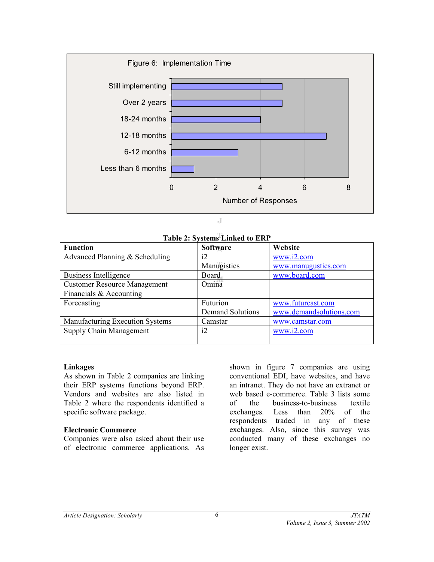![](_page_5_Figure_0.jpeg)

 $\overline{A}$ 

# **Table 2: Systems Linked to ERP**

| Table 2: Bystems Emilea to ERT      |                         |                         |  |  |
|-------------------------------------|-------------------------|-------------------------|--|--|
| <b>Function</b>                     | <b>Software</b>         | Website                 |  |  |
| Advanced Planning & Scheduling      | i2                      | www.i2.com              |  |  |
|                                     | Manugistics             | www.manugustics.com     |  |  |
| Business Intelligence               | <b>Board</b>            | www.board.com           |  |  |
| <b>Customer Resource Management</b> | Omina                   |                         |  |  |
| Financials & Accounting             |                         |                         |  |  |
| Forecasting                         | Futurion                | www.futurcast.com       |  |  |
|                                     | <b>Demand Solutions</b> | www.demandsolutions.com |  |  |
| Manufacturing Execution Systems     | Camstar                 | www.camstar.com         |  |  |
| Supply Chain Management             | i2                      | www.i2.com              |  |  |
|                                     |                         |                         |  |  |

#### **Linkages**

As shown in Table 2 companies are linking their ERP systems functions beyond ERP. Vendors and websites are also listed in Table 2 where the respondents identified a specific software package.

## **Electronic Commerce**

Companies were also asked about their use of electronic commerce applications. As

shown in figure 7 companies are using conventional EDI, have websites, and have an intranet. They do not have an extranet or web based e-commerce. Table 3 lists some of the business-to-business textile exchanges. Less than 20% of the respondents traded in any of these exchanges. Also, since this survey was conducted many of these exchanges no longer exist.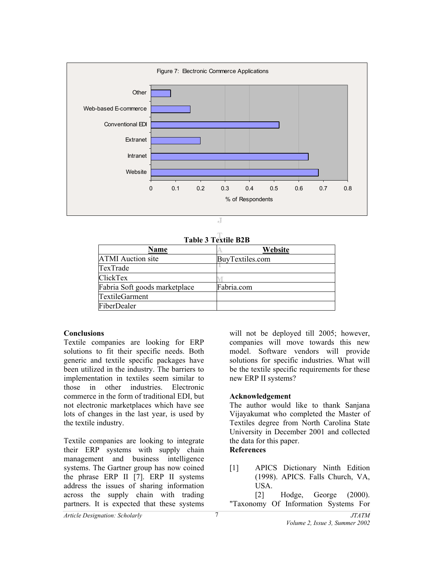![](_page_6_Figure_0.jpeg)

|  | <b>Table 3 Textile R2R</b> |  |
|--|----------------------------|--|

| TADIC 9 TUALIIU DZD           |                 |  |  |
|-------------------------------|-----------------|--|--|
| Name                          | Website         |  |  |
| <b>ATMI</b> Auction site      | BuyTextiles.com |  |  |
| TexTrade                      |                 |  |  |
| ClickTex                      |                 |  |  |
| Fabria Soft goods marketplace | Fabria.com      |  |  |
| TextileGarment                |                 |  |  |
| FiberDealer                   |                 |  |  |

# **Conclusions**

Textile companies are looking for ERP solutions to fit their specific needs. Both generic and textile specific packages have been utilized in the industry. The barriers to implementation in textiles seem similar to those in other industries. Electronic commerce in the form of traditional EDI, but not electronic marketplaces which have see lots of changes in the last year, is used by the textile industry.

Textile companies are looking to integrate their ERP systems with supply chain management and business intelligence systems. The Gartner group has now coined the phrase ERP II [7]. ERP II systems address the issues of sharing information across the supply chain with trading partners. It is expected that these systems

will not be deployed till 2005; however, companies will move towards this new model. Software vendors will provide solutions for specific industries. What will be the textile specific requirements for these new ERP II systems?

## **Acknowledgement**

The author would like to thank Sanjana Vijayakumat who completed the Master of Textiles degree from North Carolina State University in December 2001 and collected the data for this paper.

# **References**

[1] APICS Dictionary Ninth Edition (1998). APICS. Falls Church, VA, USA.

[2] Hodge, George (2000). "Taxonomy Of Information Systems For